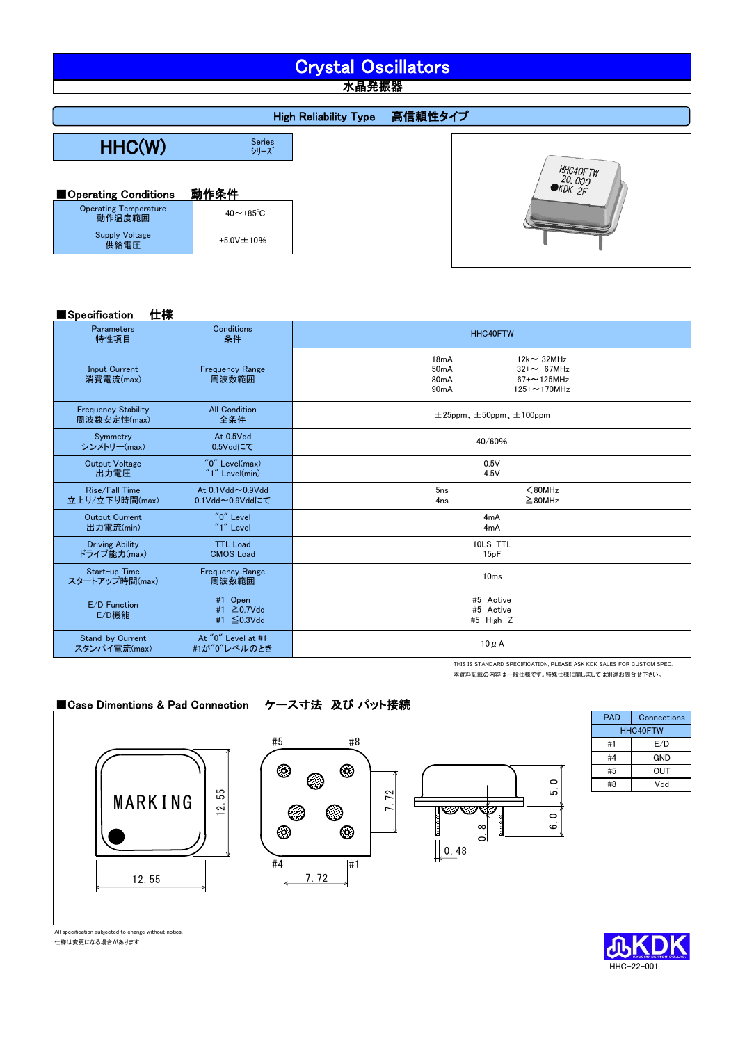# Crystal Oscillators

水晶発振器

|                                        |                       | <b>High Reliability Type</b> | 高信頼性タイプ |                              |
|----------------------------------------|-----------------------|------------------------------|---------|------------------------------|
|                                        |                       |                              |         |                              |
| HHC(W)                                 | <b>Series</b><br>シリーズ |                              |         |                              |
|                                        |                       |                              |         | HHC40FTW<br>20.000<br>WDK 2F |
| Operating Conditions                   | 動作条件                  |                              |         |                              |
| <b>Operating Temperature</b><br>動作温度範囲 | $-40 \sim +85$ °C     |                              |         |                              |

| Specification | 仕様 |
|---------------|----|
|               |    |

Supply Voltage 供給電圧 +5.0V±10%

| ,,,,,,,,,,,,<br>יניו —ו                   |                                      |                                                                                                                                                |  |
|-------------------------------------------|--------------------------------------|------------------------------------------------------------------------------------------------------------------------------------------------|--|
| <b>Parameters</b><br>特性項目                 | Conditions<br>条件                     | HHC40FTW                                                                                                                                       |  |
| <b>Input Current</b><br>消費電流(max)         | <b>Frequency Range</b><br>周波数範囲      | $12k \sim 32MHz$<br>18 <sub>m</sub> A<br>50mA<br>$32 + \sim 67$ MHz<br>80 <sub>m</sub> A<br>$67 + 125$ MHz<br>125+~170MHz<br>90 <sub>m</sub> A |  |
| <b>Frequency Stability</b><br>周波数安定性(max) | <b>All Condition</b><br>全条件          | $\pm 25$ ppm、 $\pm 50$ ppm、 $\pm 100$ ppm                                                                                                      |  |
| Symmetry<br>シンメトリー(max)                   | At 0.5Vdd<br>0.5Vddにて                | 40/60%                                                                                                                                         |  |
| <b>Output Voltage</b><br>出力電圧             | $"0"$ Level(max)<br>$"1"$ Level(min) | 0.5V<br>4.5V                                                                                                                                   |  |
| Rise/Fall Time<br>立上り/立下り時間(max)          | At 0.1Vdd~0.9Vdd<br>0.1Vdd~0.9Vddにて  | 5 <sub>ns</sub><br>$80MHz$<br>$\geq$ 80MHz<br>4 <sub>ns</sub>                                                                                  |  |
| <b>Output Current</b><br>出力電流(min)        | "0" Level<br>$"1"$ Level             | 4mA<br>4mA                                                                                                                                     |  |
| <b>Driving Ability</b><br>ドライブ能力(max)     | <b>TTL Load</b><br><b>CMOS Load</b>  | 10LS-TTL<br>15pF                                                                                                                               |  |
| Start-up Time<br>スタートアップ時間(max)           | <b>Frequency Range</b><br>周波数範囲      | 10 <sub>ms</sub>                                                                                                                               |  |
| E/D Function<br>E/D機能                     | #1 Open<br>#1 ≧0.7Vdd<br>#1 ≦0.3Vdd  | #5 Active<br>#5 Active<br>#5 High Z                                                                                                            |  |
| Stand-by Current<br>スタンバイ電流(max)          | At "0" Level at #1<br>#1が"0"レベルのとき   | $10 \mu$ A                                                                                                                                     |  |

THIS IS STANDARD SPECIFICATION, PLEASE ASK KDK SALES FOR CUSTOM SPEC. 本資料記載の内容は一般仕様です。特殊仕様に関しましては別途お問合せ下さい。

## ■Case Dimentions & Pad Connection ケース寸法 及び パット接続